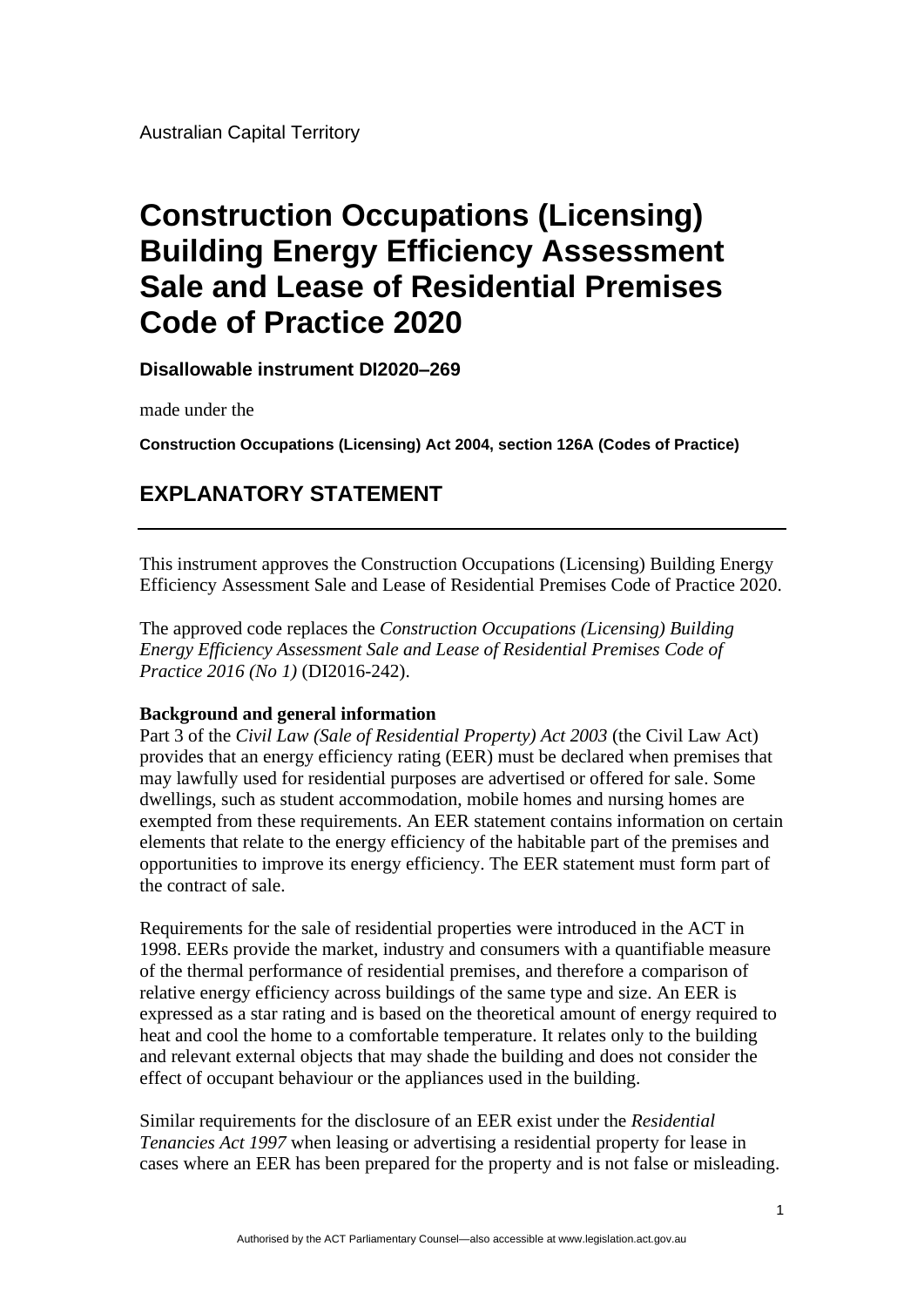Australian Capital Territory

# **Construction Occupations (Licensing) Building Energy Efficiency Assessment Sale and Lease of Residential Premises Code of Practice 2020**

**Disallowable instrument DI2020–269**

made under the

**Construction Occupations (Licensing) Act 2004, section 126A (Codes of Practice)**

# **EXPLANATORY STATEMENT**

This instrument approves the Construction Occupations (Licensing) Building Energy Efficiency Assessment Sale and Lease of Residential Premises Code of Practice 2020.

The approved code replaces the *Construction Occupations (Licensing) Building Energy Efficiency Assessment Sale and Lease of Residential Premises Code of Practice 2016 (No 1)* (DI2016-242).

# **Background and general information**

Part 3 of the *Civil Law (Sale of Residential Property) Act 2003* (the Civil Law Act) provides that an energy efficiency rating (EER) must be declared when premises that may lawfully used for residential purposes are advertised or offered for sale. Some dwellings, such as student accommodation, mobile homes and nursing homes are exempted from these requirements. An EER statement contains information on certain elements that relate to the energy efficiency of the habitable part of the premises and opportunities to improve its energy efficiency. The EER statement must form part of the contract of sale.

Requirements for the sale of residential properties were introduced in the ACT in 1998. EERs provide the market, industry and consumers with a quantifiable measure of the thermal performance of residential premises, and therefore a comparison of relative energy efficiency across buildings of the same type and size. An EER is expressed as a star rating and is based on the theoretical amount of energy required to heat and cool the home to a comfortable temperature. It relates only to the building and relevant external objects that may shade the building and does not consider the effect of occupant behaviour or the appliances used in the building.

Similar requirements for the disclosure of an EER exist under the *Residential Tenancies Act 1997* when leasing or advertising a residential property for lease in cases where an EER has been prepared for the property and is not false or misleading.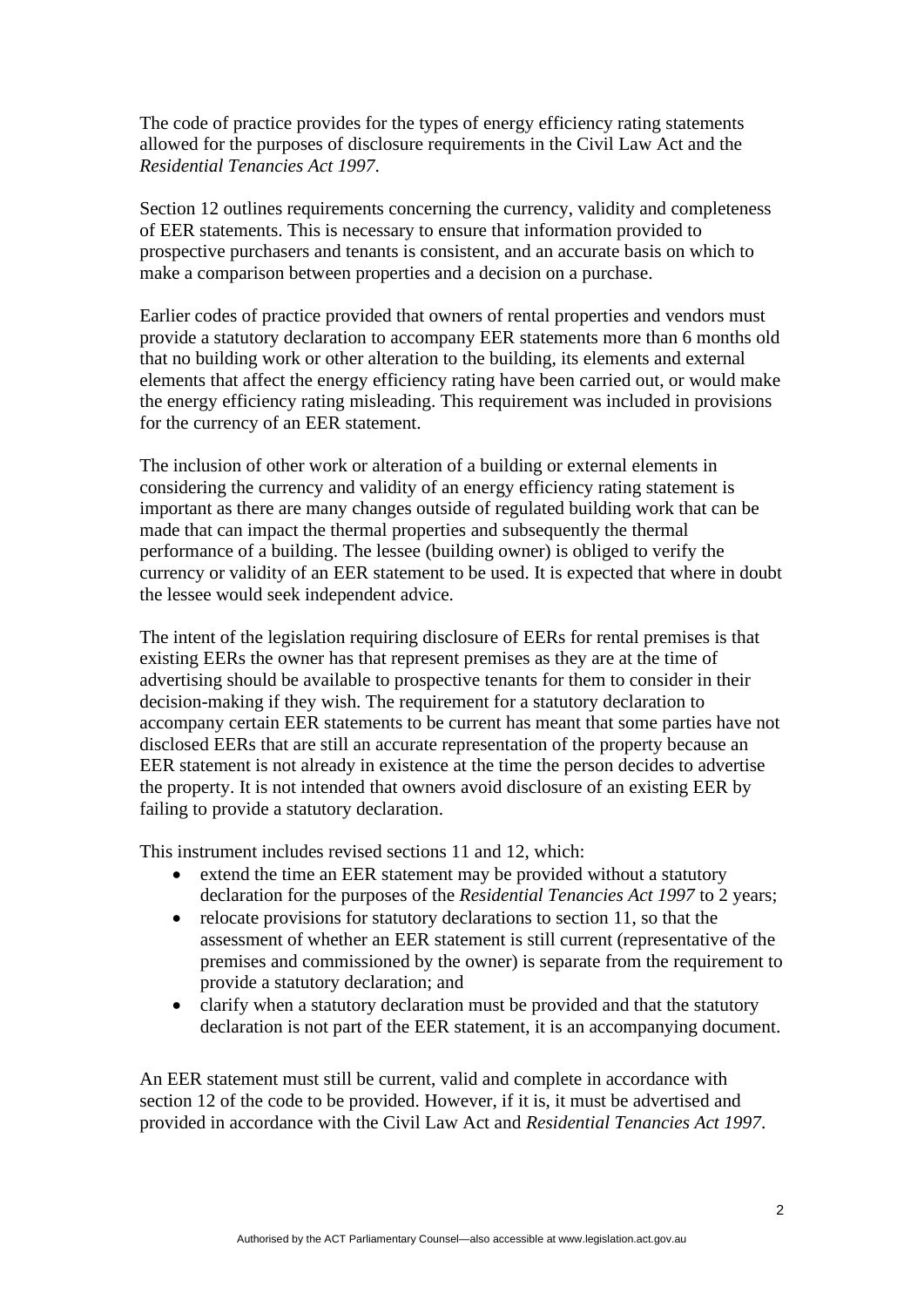The code of practice provides for the types of energy efficiency rating statements allowed for the purposes of disclosure requirements in the Civil Law Act and the *Residential Tenancies Act 1997*.

Section 12 outlines requirements concerning the currency, validity and completeness of EER statements. This is necessary to ensure that information provided to prospective purchasers and tenants is consistent, and an accurate basis on which to make a comparison between properties and a decision on a purchase.

Earlier codes of practice provided that owners of rental properties and vendors must provide a statutory declaration to accompany EER statements more than 6 months old that no building work or other alteration to the building, its elements and external elements that affect the energy efficiency rating have been carried out, or would make the energy efficiency rating misleading. This requirement was included in provisions for the currency of an EER statement.

The inclusion of other work or alteration of a building or external elements in considering the currency and validity of an energy efficiency rating statement is important as there are many changes outside of regulated building work that can be made that can impact the thermal properties and subsequently the thermal performance of a building. The lessee (building owner) is obliged to verify the currency or validity of an EER statement to be used. It is expected that where in doubt the lessee would seek independent advice.

The intent of the legislation requiring disclosure of EERs for rental premises is that existing EERs the owner has that represent premises as they are at the time of advertising should be available to prospective tenants for them to consider in their decision-making if they wish. The requirement for a statutory declaration to accompany certain EER statements to be current has meant that some parties have not disclosed EERs that are still an accurate representation of the property because an EER statement is not already in existence at the time the person decides to advertise the property. It is not intended that owners avoid disclosure of an existing EER by failing to provide a statutory declaration.

This instrument includes revised sections 11 and 12, which:

- extend the time an EER statement may be provided without a statutory declaration for the purposes of the *Residential Tenancies Act 1997* to 2 years;
- relocate provisions for statutory declarations to section 11, so that the assessment of whether an EER statement is still current (representative of the premises and commissioned by the owner) is separate from the requirement to provide a statutory declaration; and
- clarify when a statutory declaration must be provided and that the statutory declaration is not part of the EER statement, it is an accompanying document.

An EER statement must still be current, valid and complete in accordance with section 12 of the code to be provided. However, if it is, it must be advertised and provided in accordance with the Civil Law Act and *Residential Tenancies Act 1997*.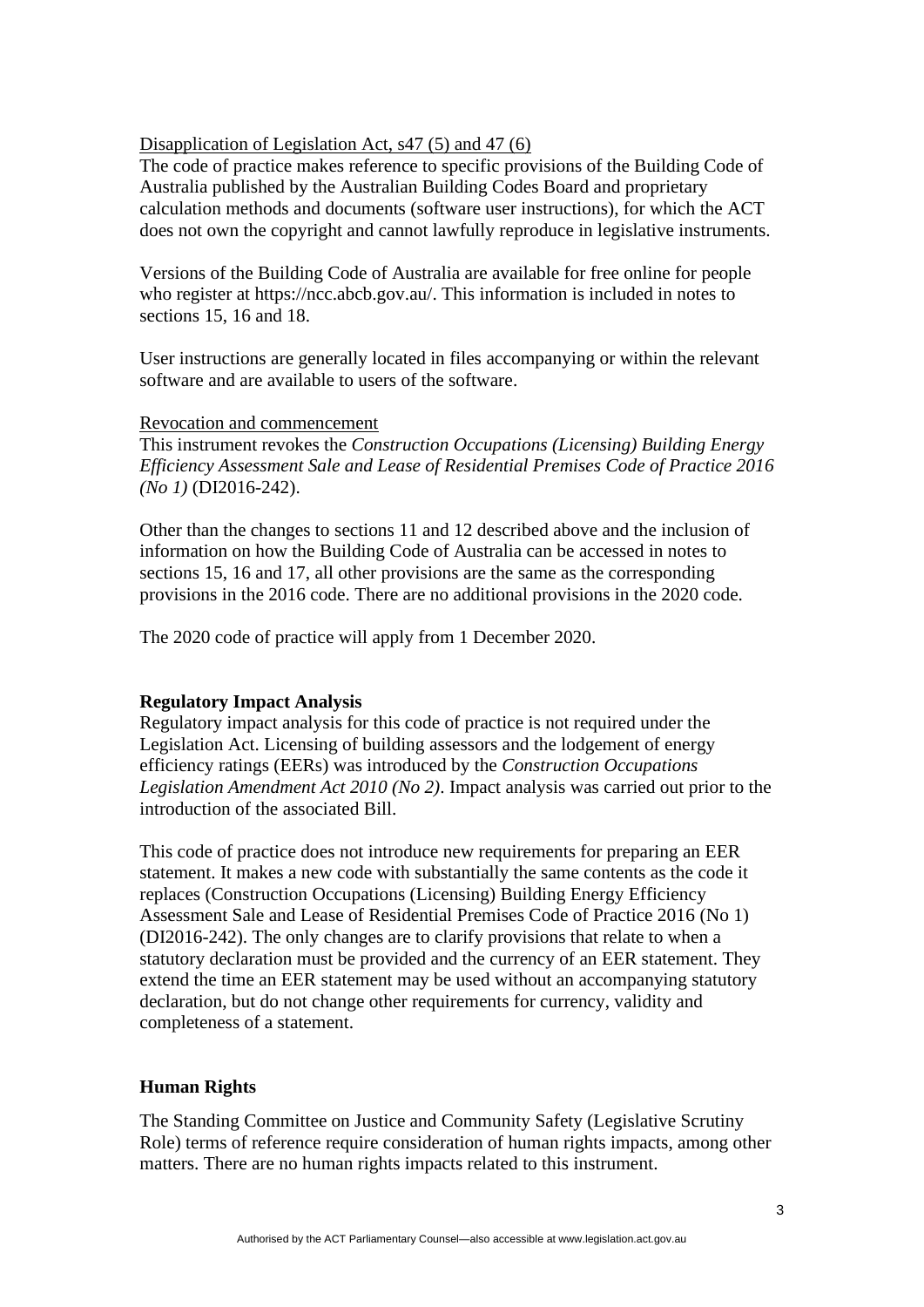# Disapplication of Legislation Act, s47 (5) and 47 (6)

The code of practice makes reference to specific provisions of the Building Code of Australia published by the Australian Building Codes Board and proprietary calculation methods and documents (software user instructions), for which the ACT does not own the copyright and cannot lawfully reproduce in legislative instruments.

Versions of the Building Code of Australia are available for free online for people who register at [https://ncc.abcb.gov.au/.](https://ncc.abcb.gov.au/) This information is included in notes to sections 15, 16 and 18.

User instructions are generally located in files accompanying or within the relevant software and are available to users of the software.

#### Revocation and commencement

This instrument revokes the *Construction Occupations (Licensing) Building Energy Efficiency Assessment Sale and Lease of Residential Premises Code of Practice 2016 (No 1)* (DI2016-242).

Other than the changes to sections 11 and 12 described above and the inclusion of information on how the Building Code of Australia can be accessed in notes to sections 15, 16 and 17, all other provisions are the same as the corresponding provisions in the 2016 code. There are no additional provisions in the 2020 code.

The 2020 code of practice will apply from 1 December 2020.

# **Regulatory Impact Analysis**

Regulatory impact analysis for this code of practice is not required under the Legislation Act. Licensing of building assessors and the lodgement of energy efficiency ratings (EERs) was introduced by the *Construction Occupations Legislation Amendment Act 2010 (No 2)*. Impact analysis was carried out prior to the introduction of the associated Bill.

This code of practice does not introduce new requirements for preparing an EER statement. It makes a new code with substantially the same contents as the code it replaces (Construction Occupations (Licensing) Building Energy Efficiency Assessment Sale and Lease of Residential Premises Code of Practice 2016 (No 1) (DI2016-242). The only changes are to clarify provisions that relate to when a statutory declaration must be provided and the currency of an EER statement. They extend the time an EER statement may be used without an accompanying statutory declaration, but do not change other requirements for currency, validity and completeness of a statement.

#### **Human Rights**

The Standing Committee on Justice and Community Safety (Legislative Scrutiny Role) terms of reference require consideration of human rights impacts, among other matters. There are no human rights impacts related to this instrument.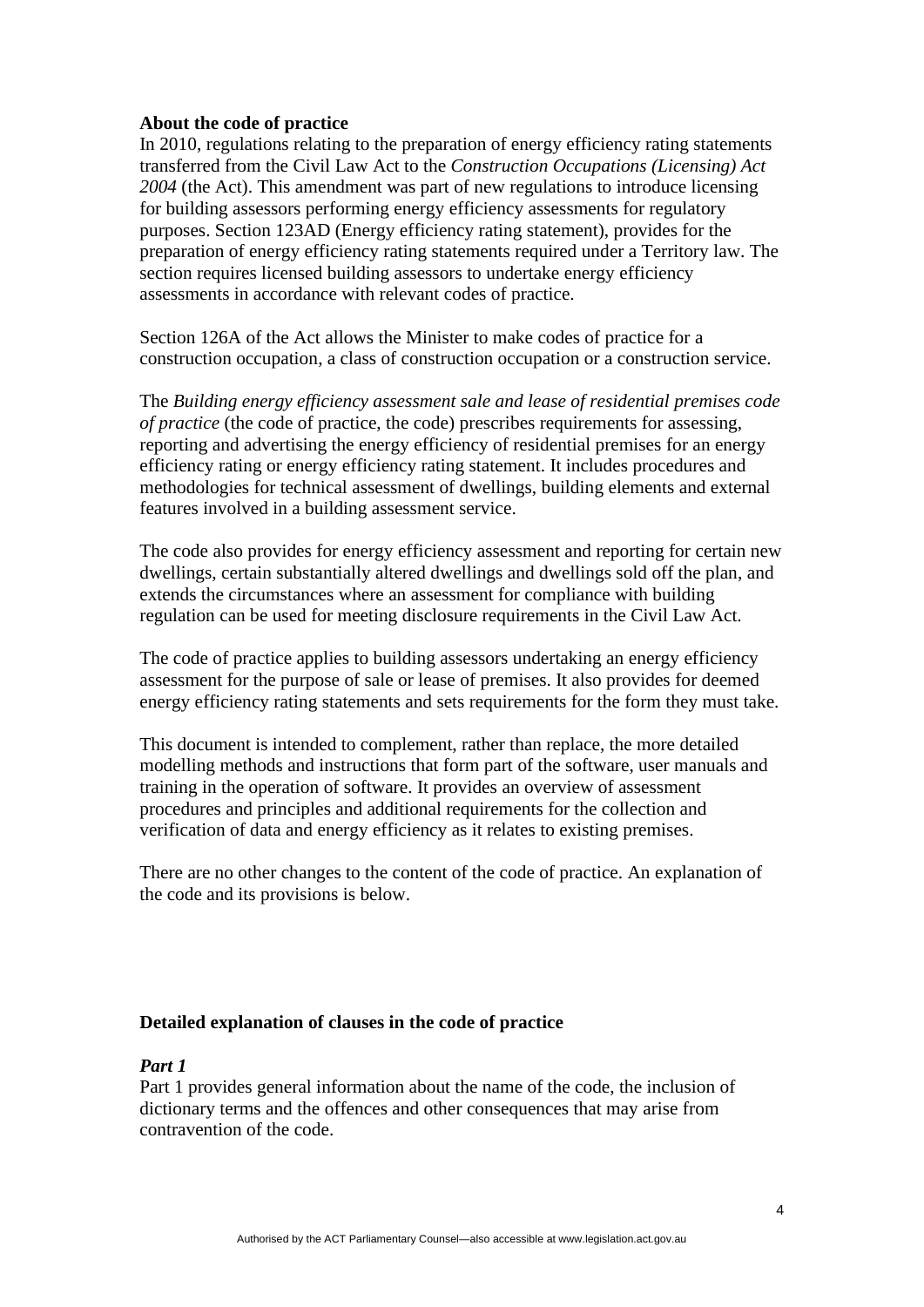#### **About the code of practice**

In 2010, regulations relating to the preparation of energy efficiency rating statements transferred from the Civil Law Act to the *Construction Occupations (Licensing) Act 2004* (the Act). This amendment was part of new regulations to introduce licensing for building assessors performing energy efficiency assessments for regulatory purposes. Section 123AD (Energy efficiency rating statement), provides for the preparation of energy efficiency rating statements required under a Territory law. The section requires licensed building assessors to undertake energy efficiency assessments in accordance with relevant codes of practice.

Section 126A of the Act allows the Minister to make codes of practice for a construction occupation, a class of construction occupation or a construction service.

The *Building energy efficiency assessment sale and lease of residential premises code of practice* (the code of practice, the code) prescribes requirements for assessing, reporting and advertising the energy efficiency of residential premises for an energy efficiency rating or energy efficiency rating statement. It includes procedures and methodologies for technical assessment of dwellings, building elements and external features involved in a building assessment service.

The code also provides for energy efficiency assessment and reporting for certain new dwellings, certain substantially altered dwellings and dwellings sold off the plan, and extends the circumstances where an assessment for compliance with building regulation can be used for meeting disclosure requirements in the Civil Law Act.

The code of practice applies to building assessors undertaking an energy efficiency assessment for the purpose of sale or lease of premises. It also provides for deemed energy efficiency rating statements and sets requirements for the form they must take.

This document is intended to complement, rather than replace, the more detailed modelling methods and instructions that form part of the software, user manuals and training in the operation of software. It provides an overview of assessment procedures and principles and additional requirements for the collection and verification of data and energy efficiency as it relates to existing premises.

There are no other changes to the content of the code of practice. An explanation of the code and its provisions is below.

#### **Detailed explanation of clauses in the code of practice**

#### *Part 1*

Part 1 provides general information about the name of the code, the inclusion of dictionary terms and the offences and other consequences that may arise from contravention of the code.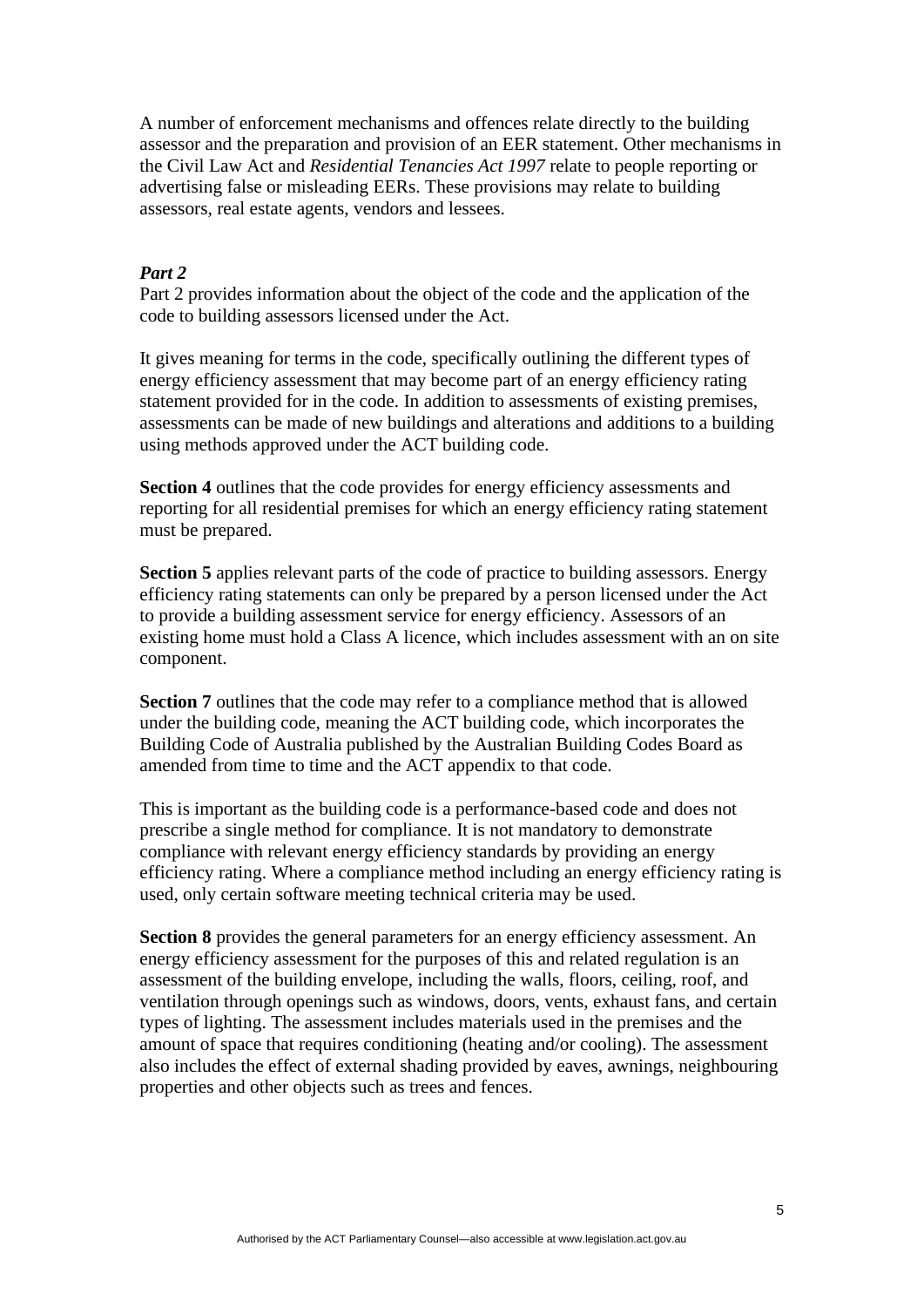A number of enforcement mechanisms and offences relate directly to the building assessor and the preparation and provision of an EER statement. Other mechanisms in the Civil Law Act and *Residential Tenancies Act 1997* relate to people reporting or advertising false or misleading EERs. These provisions may relate to building assessors, real estate agents, vendors and lessees.

#### *Part 2*

Part 2 provides information about the object of the code and the application of the code to building assessors licensed under the Act.

It gives meaning for terms in the code, specifically outlining the different types of energy efficiency assessment that may become part of an energy efficiency rating statement provided for in the code. In addition to assessments of existing premises, assessments can be made of new buildings and alterations and additions to a building using methods approved under the ACT building code.

**Section 4** outlines that the code provides for energy efficiency assessments and reporting for all residential premises for which an energy efficiency rating statement must be prepared.

**Section 5** applies relevant parts of the code of practice to building assessors. Energy efficiency rating statements can only be prepared by a person licensed under the Act to provide a building assessment service for energy efficiency. Assessors of an existing home must hold a Class A licence, which includes assessment with an on site component.

**Section 7** outlines that the code may refer to a compliance method that is allowed under the building code, meaning the ACT building code, which incorporates the Building Code of Australia published by the Australian Building Codes Board as amended from time to time and the ACT appendix to that code.

This is important as the building code is a performance-based code and does not prescribe a single method for compliance. It is not mandatory to demonstrate compliance with relevant energy efficiency standards by providing an energy efficiency rating. Where a compliance method including an energy efficiency rating is used, only certain software meeting technical criteria may be used.

**Section 8** provides the general parameters for an energy efficiency assessment. An energy efficiency assessment for the purposes of this and related regulation is an assessment of the building envelope, including the walls, floors, ceiling, roof, and ventilation through openings such as windows, doors, vents, exhaust fans, and certain types of lighting. The assessment includes materials used in the premises and the amount of space that requires conditioning (heating and/or cooling). The assessment also includes the effect of external shading provided by eaves, awnings, neighbouring properties and other objects such as trees and fences.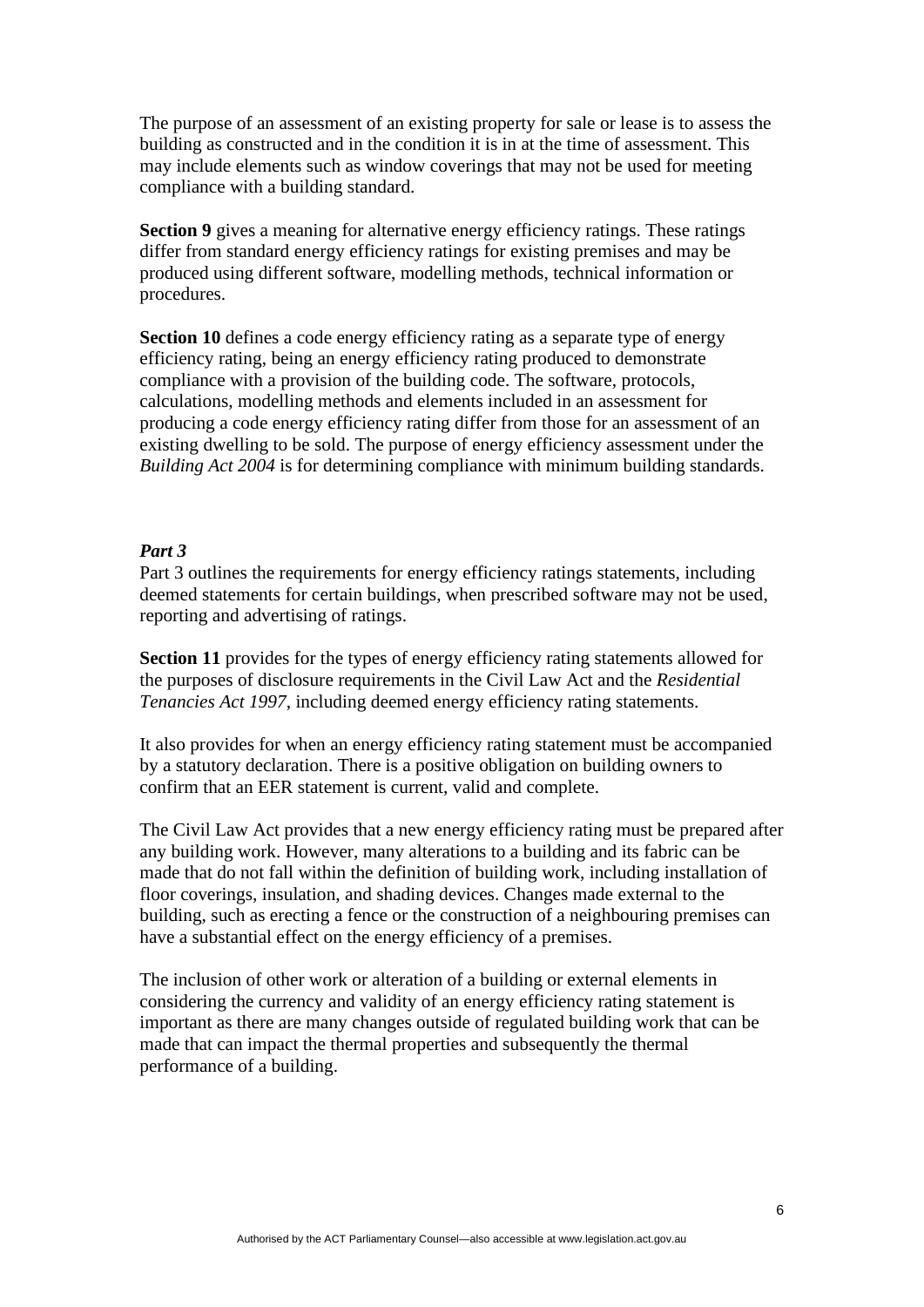The purpose of an assessment of an existing property for sale or lease is to assess the building as constructed and in the condition it is in at the time of assessment. This may include elements such as window coverings that may not be used for meeting compliance with a building standard.

**Section 9** gives a meaning for alternative energy efficiency ratings. These ratings differ from standard energy efficiency ratings for existing premises and may be produced using different software, modelling methods, technical information or procedures.

**Section 10** defines a code energy efficiency rating as a separate type of energy efficiency rating, being an energy efficiency rating produced to demonstrate compliance with a provision of the building code. The software, protocols, calculations, modelling methods and elements included in an assessment for producing a code energy efficiency rating differ from those for an assessment of an existing dwelling to be sold. The purpose of energy efficiency assessment under the *Building Act 2004* is for determining compliance with minimum building standards.

# *Part 3*

Part 3 outlines the requirements for energy efficiency ratings statements, including deemed statements for certain buildings, when prescribed software may not be used, reporting and advertising of ratings.

**Section 11** provides for the types of energy efficiency rating statements allowed for the purposes of disclosure requirements in the Civil Law Act and the *Residential Tenancies Act 1997*, including deemed energy efficiency rating statements.

It also provides for when an energy efficiency rating statement must be accompanied by a statutory declaration. There is a positive obligation on building owners to confirm that an EER statement is current, valid and complete.

The Civil Law Act provides that a new energy efficiency rating must be prepared after any building work. However, many alterations to a building and its fabric can be made that do not fall within the definition of building work, including installation of floor coverings, insulation, and shading devices. Changes made external to the building, such as erecting a fence or the construction of a neighbouring premises can have a substantial effect on the energy efficiency of a premises.

The inclusion of other work or alteration of a building or external elements in considering the currency and validity of an energy efficiency rating statement is important as there are many changes outside of regulated building work that can be made that can impact the thermal properties and subsequently the thermal performance of a building.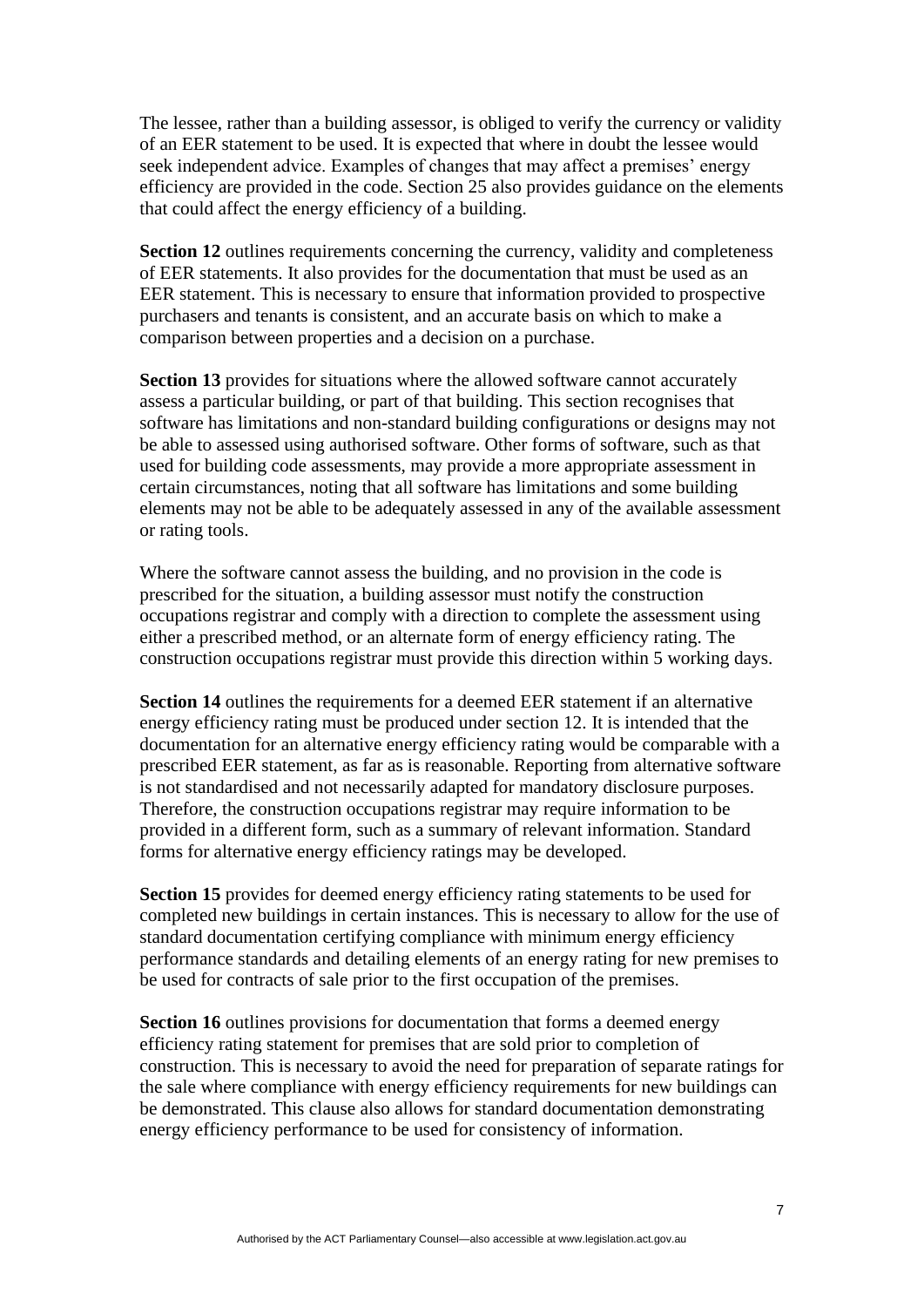The lessee, rather than a building assessor, is obliged to verify the currency or validity of an EER statement to be used. It is expected that where in doubt the lessee would seek independent advice. Examples of changes that may affect a premises' energy efficiency are provided in the code. Section 25 also provides guidance on the elements that could affect the energy efficiency of a building.

**Section 12** outlines requirements concerning the currency, validity and completeness of EER statements. It also provides for the documentation that must be used as an EER statement. This is necessary to ensure that information provided to prospective purchasers and tenants is consistent, and an accurate basis on which to make a comparison between properties and a decision on a purchase.

**Section 13** provides for situations where the allowed software cannot accurately assess a particular building, or part of that building. This section recognises that software has limitations and non-standard building configurations or designs may not be able to assessed using authorised software. Other forms of software, such as that used for building code assessments, may provide a more appropriate assessment in certain circumstances, noting that all software has limitations and some building elements may not be able to be adequately assessed in any of the available assessment or rating tools.

Where the software cannot assess the building, and no provision in the code is prescribed for the situation, a building assessor must notify the construction occupations registrar and comply with a direction to complete the assessment using either a prescribed method, or an alternate form of energy efficiency rating. The construction occupations registrar must provide this direction within 5 working days.

**Section 14** outlines the requirements for a deemed EER statement if an alternative energy efficiency rating must be produced under section 12. It is intended that the documentation for an alternative energy efficiency rating would be comparable with a prescribed EER statement, as far as is reasonable. Reporting from alternative software is not standardised and not necessarily adapted for mandatory disclosure purposes. Therefore, the construction occupations registrar may require information to be provided in a different form, such as a summary of relevant information. Standard forms for alternative energy efficiency ratings may be developed.

**Section 15** provides for deemed energy efficiency rating statements to be used for completed new buildings in certain instances. This is necessary to allow for the use of standard documentation certifying compliance with minimum energy efficiency performance standards and detailing elements of an energy rating for new premises to be used for contracts of sale prior to the first occupation of the premises.

**Section 16** outlines provisions for documentation that forms a deemed energy efficiency rating statement for premises that are sold prior to completion of construction. This is necessary to avoid the need for preparation of separate ratings for the sale where compliance with energy efficiency requirements for new buildings can be demonstrated. This clause also allows for standard documentation demonstrating energy efficiency performance to be used for consistency of information.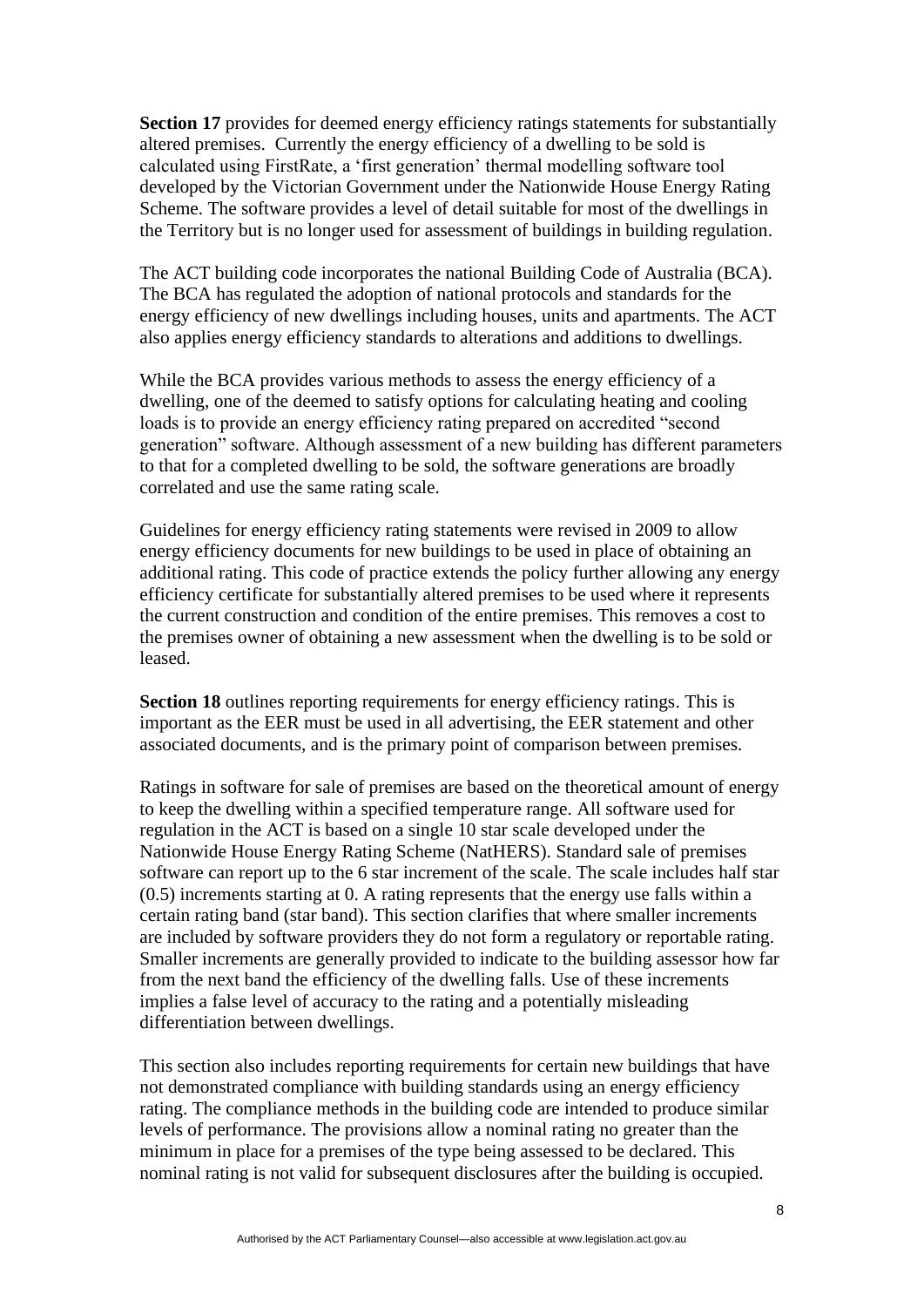**Section 17** provides for deemed energy efficiency ratings statements for substantially altered premises. Currently the energy efficiency of a dwelling to be sold is calculated using FirstRate, a 'first generation' thermal modelling software tool developed by the Victorian Government under the Nationwide House Energy Rating Scheme. The software provides a level of detail suitable for most of the dwellings in the Territory but is no longer used for assessment of buildings in building regulation.

The ACT building code incorporates the national Building Code of Australia (BCA). The BCA has regulated the adoption of national protocols and standards for the energy efficiency of new dwellings including houses, units and apartments. The ACT also applies energy efficiency standards to alterations and additions to dwellings.

While the BCA provides various methods to assess the energy efficiency of a dwelling, one of the deemed to satisfy options for calculating heating and cooling loads is to provide an energy efficiency rating prepared on accredited "second generation" software. Although assessment of a new building has different parameters to that for a completed dwelling to be sold, the software generations are broadly correlated and use the same rating scale.

Guidelines for energy efficiency rating statements were revised in 2009 to allow energy efficiency documents for new buildings to be used in place of obtaining an additional rating. This code of practice extends the policy further allowing any energy efficiency certificate for substantially altered premises to be used where it represents the current construction and condition of the entire premises. This removes a cost to the premises owner of obtaining a new assessment when the dwelling is to be sold or leased.

**Section 18** outlines reporting requirements for energy efficiency ratings. This is important as the EER must be used in all advertising, the EER statement and other associated documents, and is the primary point of comparison between premises.

Ratings in software for sale of premises are based on the theoretical amount of energy to keep the dwelling within a specified temperature range. All software used for regulation in the ACT is based on a single 10 star scale developed under the Nationwide House Energy Rating Scheme (NatHERS). Standard sale of premises software can report up to the 6 star increment of the scale. The scale includes half star (0.5) increments starting at 0. A rating represents that the energy use falls within a certain rating band (star band). This section clarifies that where smaller increments are included by software providers they do not form a regulatory or reportable rating. Smaller increments are generally provided to indicate to the building assessor how far from the next band the efficiency of the dwelling falls. Use of these increments implies a false level of accuracy to the rating and a potentially misleading differentiation between dwellings.

This section also includes reporting requirements for certain new buildings that have not demonstrated compliance with building standards using an energy efficiency rating. The compliance methods in the building code are intended to produce similar levels of performance. The provisions allow a nominal rating no greater than the minimum in place for a premises of the type being assessed to be declared. This nominal rating is not valid for subsequent disclosures after the building is occupied.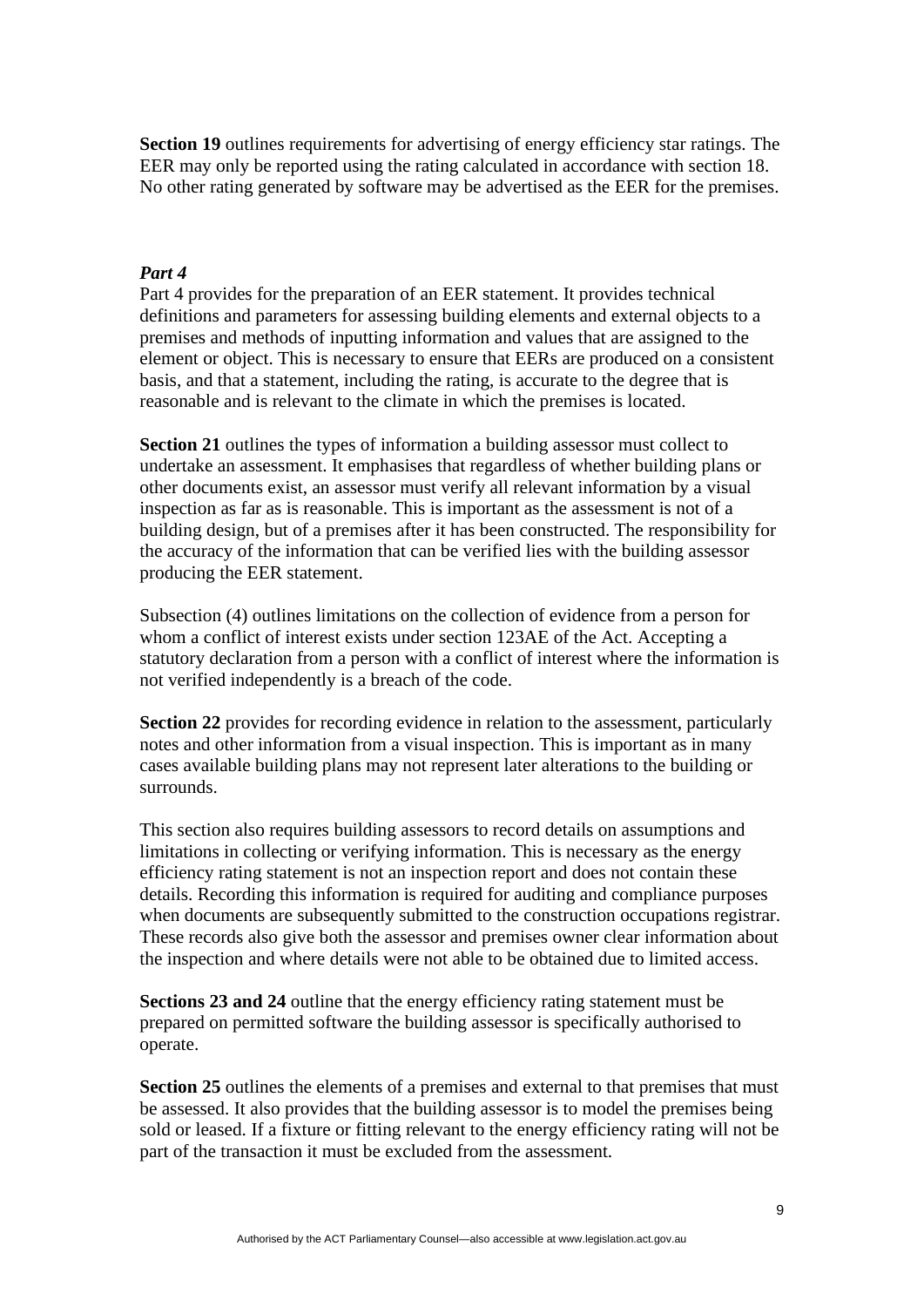**Section 19** outlines requirements for advertising of energy efficiency star ratings. The EER may only be reported using the rating calculated in accordance with section 18. No other rating generated by software may be advertised as the EER for the premises.

#### *Part 4*

Part 4 provides for the preparation of an EER statement. It provides technical definitions and parameters for assessing building elements and external objects to a premises and methods of inputting information and values that are assigned to the element or object. This is necessary to ensure that EERs are produced on a consistent basis, and that a statement, including the rating, is accurate to the degree that is reasonable and is relevant to the climate in which the premises is located.

**Section 21** outlines the types of information a building assessor must collect to undertake an assessment. It emphasises that regardless of whether building plans or other documents exist, an assessor must verify all relevant information by a visual inspection as far as is reasonable. This is important as the assessment is not of a building design, but of a premises after it has been constructed. The responsibility for the accuracy of the information that can be verified lies with the building assessor producing the EER statement.

Subsection (4) outlines limitations on the collection of evidence from a person for whom a conflict of interest exists under section 123AE of the Act. Accepting a statutory declaration from a person with a conflict of interest where the information is not verified independently is a breach of the code.

**Section 22** provides for recording evidence in relation to the assessment, particularly notes and other information from a visual inspection. This is important as in many cases available building plans may not represent later alterations to the building or surrounds.

This section also requires building assessors to record details on assumptions and limitations in collecting or verifying information. This is necessary as the energy efficiency rating statement is not an inspection report and does not contain these details. Recording this information is required for auditing and compliance purposes when documents are subsequently submitted to the construction occupations registrar. These records also give both the assessor and premises owner clear information about the inspection and where details were not able to be obtained due to limited access.

**Sections 23 and 24** outline that the energy efficiency rating statement must be prepared on permitted software the building assessor is specifically authorised to operate.

**Section 25** outlines the elements of a premises and external to that premises that must be assessed. It also provides that the building assessor is to model the premises being sold or leased. If a fixture or fitting relevant to the energy efficiency rating will not be part of the transaction it must be excluded from the assessment.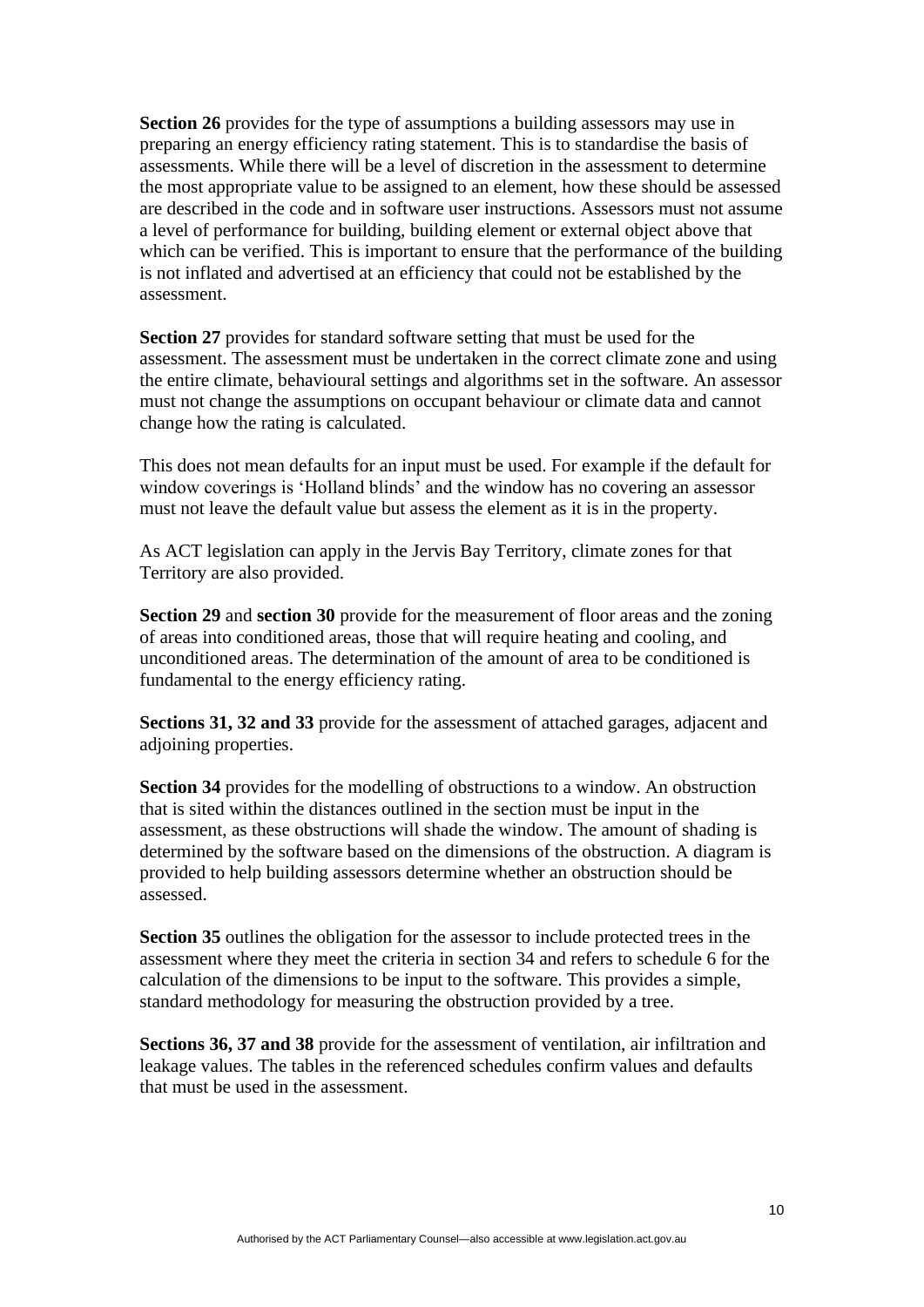**Section 26** provides for the type of assumptions a building assessors may use in preparing an energy efficiency rating statement. This is to standardise the basis of assessments. While there will be a level of discretion in the assessment to determine the most appropriate value to be assigned to an element, how these should be assessed are described in the code and in software user instructions. Assessors must not assume a level of performance for building, building element or external object above that which can be verified. This is important to ensure that the performance of the building is not inflated and advertised at an efficiency that could not be established by the assessment.

**Section 27** provides for standard software setting that must be used for the assessment. The assessment must be undertaken in the correct climate zone and using the entire climate, behavioural settings and algorithms set in the software. An assessor must not change the assumptions on occupant behaviour or climate data and cannot change how the rating is calculated.

This does not mean defaults for an input must be used. For example if the default for window coverings is 'Holland blinds' and the window has no covering an assessor must not leave the default value but assess the element as it is in the property.

As ACT legislation can apply in the Jervis Bay Territory, climate zones for that Territory are also provided.

**Section 29** and **section 30** provide for the measurement of floor areas and the zoning of areas into conditioned areas, those that will require heating and cooling, and unconditioned areas. The determination of the amount of area to be conditioned is fundamental to the energy efficiency rating.

**Sections 31, 32 and 33** provide for the assessment of attached garages, adjacent and adjoining properties.

**Section 34** provides for the modelling of obstructions to a window. An obstruction that is sited within the distances outlined in the section must be input in the assessment, as these obstructions will shade the window. The amount of shading is determined by the software based on the dimensions of the obstruction. A diagram is provided to help building assessors determine whether an obstruction should be assessed.

**Section 35** outlines the obligation for the assessor to include protected trees in the assessment where they meet the criteria in section 34 and refers to schedule 6 for the calculation of the dimensions to be input to the software. This provides a simple, standard methodology for measuring the obstruction provided by a tree.

**Sections 36, 37 and 38** provide for the assessment of ventilation, air infiltration and leakage values. The tables in the referenced schedules confirm values and defaults that must be used in the assessment.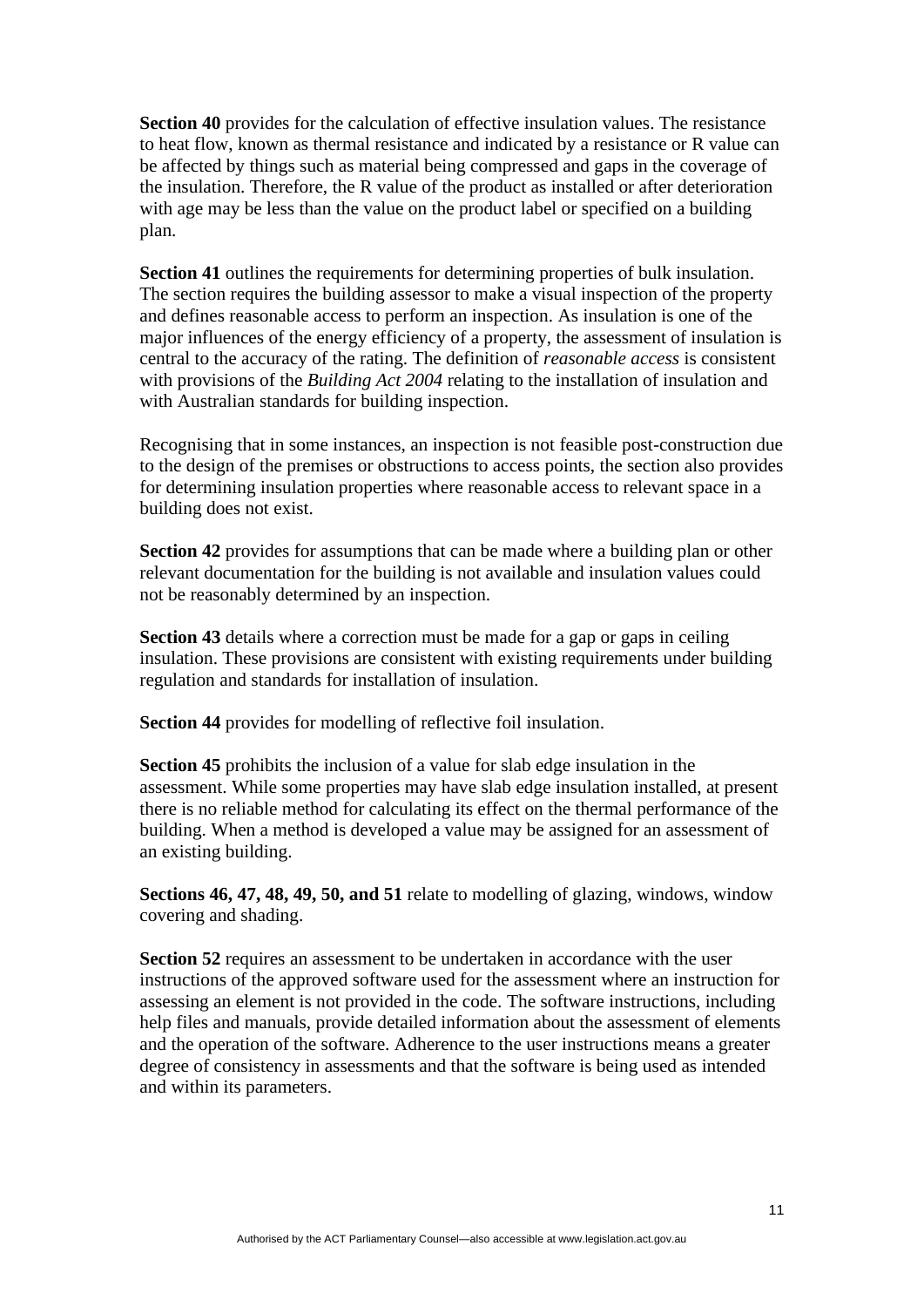**Section 40** provides for the calculation of effective insulation values. The resistance to heat flow, known as thermal resistance and indicated by a resistance or R value can be affected by things such as material being compressed and gaps in the coverage of the insulation. Therefore, the R value of the product as installed or after deterioration with age may be less than the value on the product label or specified on a building plan.

**Section 41** outlines the requirements for determining properties of bulk insulation. The section requires the building assessor to make a visual inspection of the property and defines reasonable access to perform an inspection. As insulation is one of the major influences of the energy efficiency of a property, the assessment of insulation is central to the accuracy of the rating. The definition of *reasonable access* is consistent with provisions of the *Building Act 2004* relating to the installation of insulation and with Australian standards for building inspection.

Recognising that in some instances, an inspection is not feasible post-construction due to the design of the premises or obstructions to access points, the section also provides for determining insulation properties where reasonable access to relevant space in a building does not exist.

**Section 42** provides for assumptions that can be made where a building plan or other relevant documentation for the building is not available and insulation values could not be reasonably determined by an inspection.

**Section 43** details where a correction must be made for a gap or gaps in ceiling insulation. These provisions are consistent with existing requirements under building regulation and standards for installation of insulation.

**Section 44** provides for modelling of reflective foil insulation.

**Section 45** prohibits the inclusion of a value for slab edge insulation in the assessment. While some properties may have slab edge insulation installed, at present there is no reliable method for calculating its effect on the thermal performance of the building. When a method is developed a value may be assigned for an assessment of an existing building.

**Sections 46, 47, 48, 49, 50, and 51** relate to modelling of glazing, windows, window covering and shading.

**Section 52** requires an assessment to be undertaken in accordance with the user instructions of the approved software used for the assessment where an instruction for assessing an element is not provided in the code. The software instructions, including help files and manuals, provide detailed information about the assessment of elements and the operation of the software. Adherence to the user instructions means a greater degree of consistency in assessments and that the software is being used as intended and within its parameters.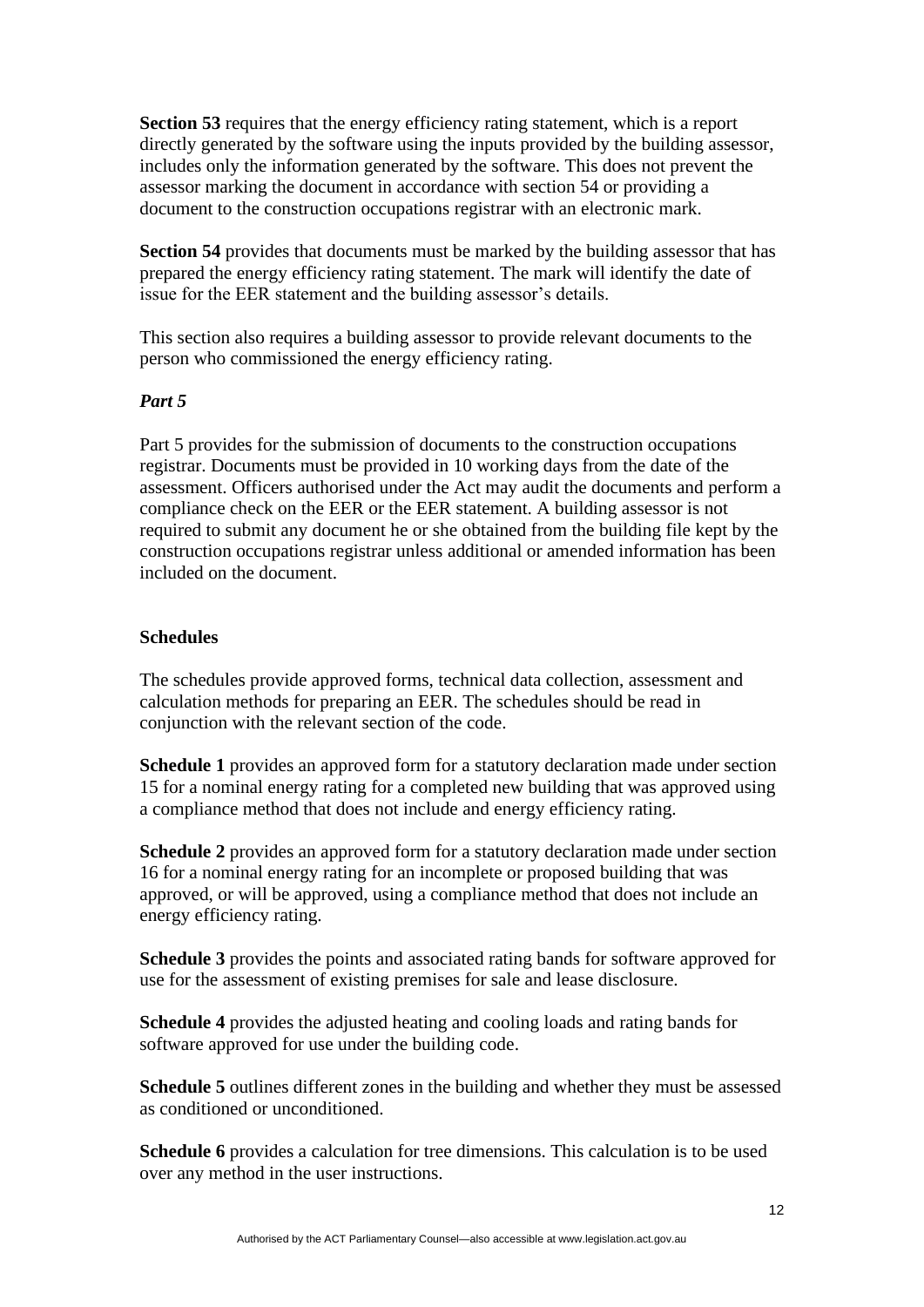**Section 53** requires that the energy efficiency rating statement, which is a report directly generated by the software using the inputs provided by the building assessor, includes only the information generated by the software. This does not prevent the assessor marking the document in accordance with section 54 or providing a document to the construction occupations registrar with an electronic mark.

**Section 54** provides that documents must be marked by the building assessor that has prepared the energy efficiency rating statement. The mark will identify the date of issue for the EER statement and the building assessor's details.

This section also requires a building assessor to provide relevant documents to the person who commissioned the energy efficiency rating.

# *Part 5*

Part 5 provides for the submission of documents to the construction occupations registrar. Documents must be provided in 10 working days from the date of the assessment. Officers authorised under the Act may audit the documents and perform a compliance check on the EER or the EER statement. A building assessor is not required to submit any document he or she obtained from the building file kept by the construction occupations registrar unless additional or amended information has been included on the document.

# **Schedules**

The schedules provide approved forms, technical data collection, assessment and calculation methods for preparing an EER. The schedules should be read in conjunction with the relevant section of the code.

**Schedule 1** provides an approved form for a statutory declaration made under section 15 for a nominal energy rating for a completed new building that was approved using a compliance method that does not include and energy efficiency rating.

**Schedule 2** provides an approved form for a statutory declaration made under section 16 for a nominal energy rating for an incomplete or proposed building that was approved, or will be approved, using a compliance method that does not include an energy efficiency rating.

**Schedule 3** provides the points and associated rating bands for software approved for use for the assessment of existing premises for sale and lease disclosure.

**Schedule 4** provides the adjusted heating and cooling loads and rating bands for software approved for use under the building code.

**Schedule 5** outlines different zones in the building and whether they must be assessed as conditioned or unconditioned.

**Schedule 6** provides a calculation for tree dimensions. This calculation is to be used over any method in the user instructions.